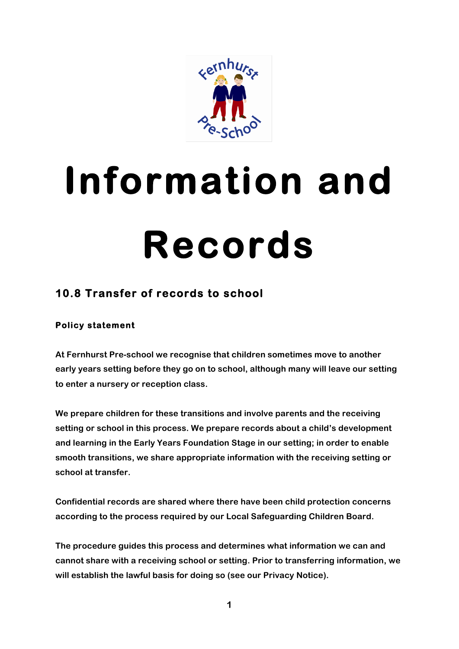

# **Information and Records**

# **10.8 Transfer of records to school**

# **Policy statement**

**At Fernhurst Pre-school we recognise that children sometimes move to another early years setting before they go on to school, although many will leave our setting to enter a nursery or reception class.**

**We prepare children for these transitions and involve parents and the receiving setting or school in this process. We prepare records about a child's development and learning in the Early Years Foundation Stage in our setting; in order to enable smooth transitions, we share appropriate information with the receiving setting or school at transfer.**

**Confidential records are shared where there have been child protection concerns according to the process required by our Local Safeguarding Children Board.**

**The procedure guides this process and determines what information we can and cannot share with a receiving school or setting. Prior to transferring information, we will establish the lawful basis for doing so (see our Privacy Notice).**

**1**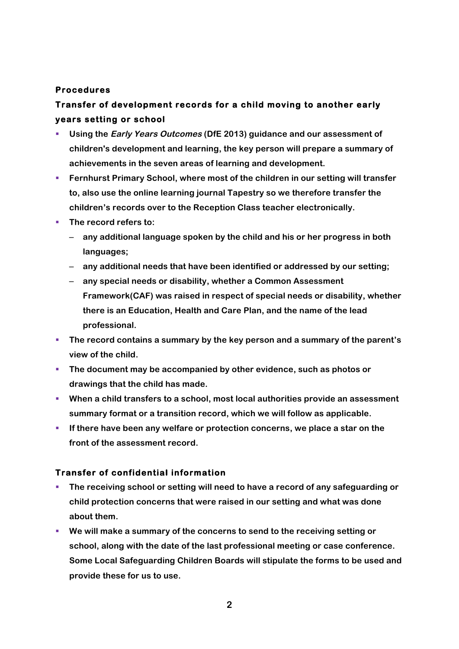### **Procedures**

# **Transfer of development records for a child moving to another early years setting or school**

- § **Using the Early Years Outcomes (DfE 2013) guidance and our assessment of children's development and learning, the key person will prepare a summary of achievements in the seven areas of learning and development.**
- **EXECTE FERIM** Frimary School, where most of the children in our setting will transfer **to, also use the online learning journal Tapestry so we therefore transfer the children's records over to the Reception Class teacher electronically.**
- The record refers to:
	- **any additional language spoken by the child and his or her progress in both languages;**
	- **any additional needs that have been identified or addressed by our setting;**
	- **any special needs or disability, whether a Common Assessment Framework(CAF) was raised in respect of special needs or disability, whether there is an Education, Health and Care Plan, and the name of the lead professional.**
- § **The record contains a summary by the key person and a summary of the parent's view of the child.**
- § **The document may be accompanied by other evidence, such as photos or drawings that the child has made.**
- When a child transfers to a school, most local authorities provide an assessment **summary format or a transition record, which we will follow as applicable.**
- **EXECT** If there have been any welfare or protection concerns, we place a star on the **front of the assessment record.**

## **Transfer of confidential information**

- **The receiving school or setting will need to have a record of any safeguarding or child protection concerns that were raised in our setting and what was done about them.**
- § **We will make a summary of the concerns to send to the receiving setting or school, along with the date of the last professional meeting or case conference. Some Local Safeguarding Children Boards will stipulate the forms to be used and provide these for us to use.**